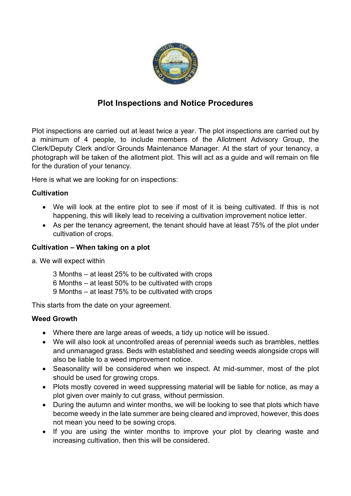

# **Plot Inspections and Notice Procedures**

Plot inspections are carried out at least twice a year. The plot inspections are carried out by a minimum of 4 people, to include members of the Allotment Advisory Group, the Clerk/Deputy Clerk and/or Grounds Maintenance Manager. At the start of your tenancy, a photograph will be taken of the allotment plot. This will act as a guide and will remain on file for the duration of your tenancy.

Here is what we are looking for on inspections:

# **Cultivation**

- We will look at the entire plot to see if most of it is being cultivated. If this is not happening, this will likely lead to receiving a cultivation improvement notice letter.
- As per the tenancy agreement, the tenant should have at least 75% of the plot under cultivation of crops.

## **Cultivation – When taking on a plot**

- a. We will expect within
	- 3 Months at least 25% to be cultivated with crops 6 Months – at least 50% to be cultivated with crops 9 Months – at least 75% to be cultivated with crops

This starts from the date on your agreement.

# **Weed Growth**

- Where there are large areas of weeds, a tidy up notice will be issued.
- We will also look at uncontrolled areas of perennial weeds such as brambles, nettles and unmanaged grass. Beds with established and seeding weeds alongside crops will also be liable to a weed improvement notice.
- Seasonality will be considered when we inspect. At mid-summer, most of the plot should be used for growing crops.
- Plots mostly covered in weed suppressing material will be liable for notice, as may a plot given over mainly to cut grass, without permission.
- During the autumn and winter months, we will be looking to see that plots which have become weedy in the late summer are being cleared and improved, however, this does not mean you need to be sowing crops.
- If you are using the winter months to improve your plot by clearing waste and increasing cultivation, then this will be considered.